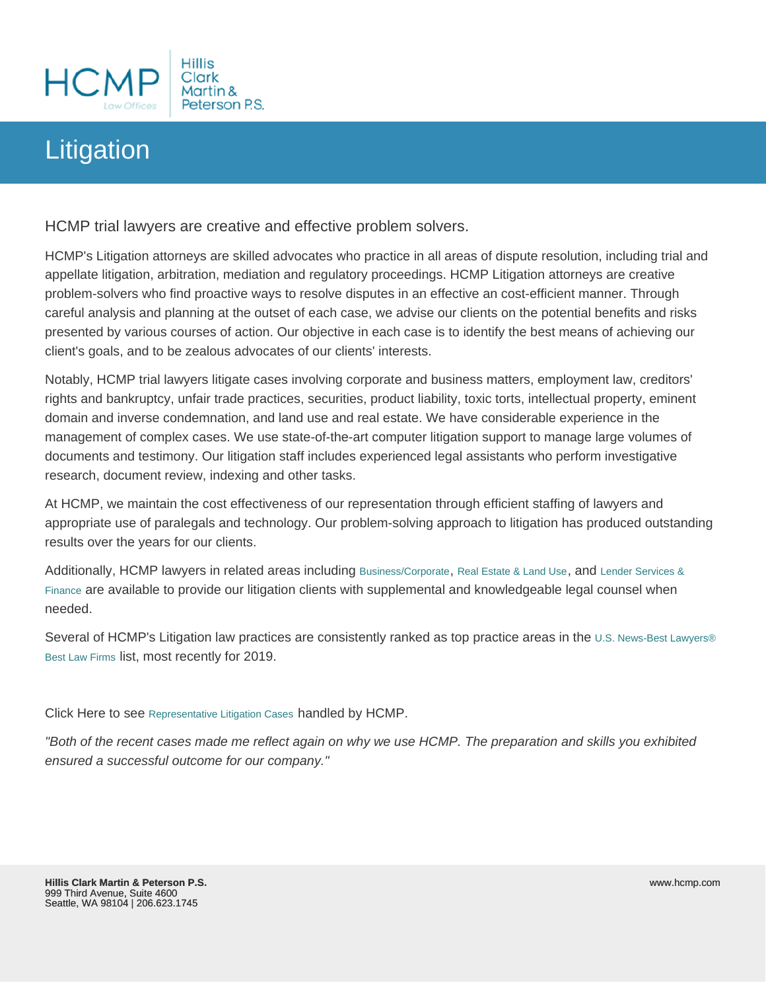## **Litigation**

HCMP trial lawyers are creative and effective problem solvers.

HCMP's Litigation attorneys are skilled advocates who practice in all areas of dispute resolution, including trial and appellate litigation, arbitration, mediation and regulatory proceedings. HCMP Litigation attorneys are creative problem-solvers who find proactive ways to resolve disputes in an effective an cost-efficient manner. Through careful analysis and planning at the outset of each case, we advise our clients on the potential benefits and risks presented by various courses of action. Our objective in each case is to identify the best means of achieving our client's goals, and to be zealous advocates of our clients' interests.

Notably, HCMP trial lawyers litigate cases involving corporate and business matters, employment law, creditors' rights and bankruptcy, unfair trade practices, securities, product liability, toxic torts, intellectual property, eminent domain and inverse condemnation, and land use and real estate. We have considerable experience in the management of complex cases. We use state-of-the-art computer litigation support to manage large volumes of documents and testimony. Our litigation staff includes experienced legal assistants who perform investigative research, document review, indexing and other tasks.

At HCMP, we maintain the cost effectiveness of our representation through efficient staffing of lawyers and appropriate use of paralegals and technology. Our problem-solving approach to litigation has produced outstanding results over the years for our clients.

Additionally, HCMP lawyers in related areas including [Business/Corporate](http://www.hcmp.com/service/business), [Real Estate & Land Use](http://www.hcmp.com/service/real-estate-and-land-use), and [Lender Services &](http://www.hcmp.com/service/lender-services-and-finance)  [Finance](http://www.hcmp.com/service/lender-services-and-finance) are available to provide our litigation clients with supplemental and knowledgeable legal counsel when needed.

Several of HCMP's Litigation law practices are consistently ranked as top practice areas in the ∪.S. News-Best Lawyers® [Best Law Firms](http://bestlawfirms.usnews.com/profile/hillis-clark-martin-peterson-p-s/rankings/19835) list, most recently for 2019.

Click Here to see [Representative Litigation Cases](/representative-cases-litigation) handled by HCMP.

"Both of the recent cases made me reflect again on why we use HCMP. The preparation and skills you exhibited ensured a successful outcome for our company."